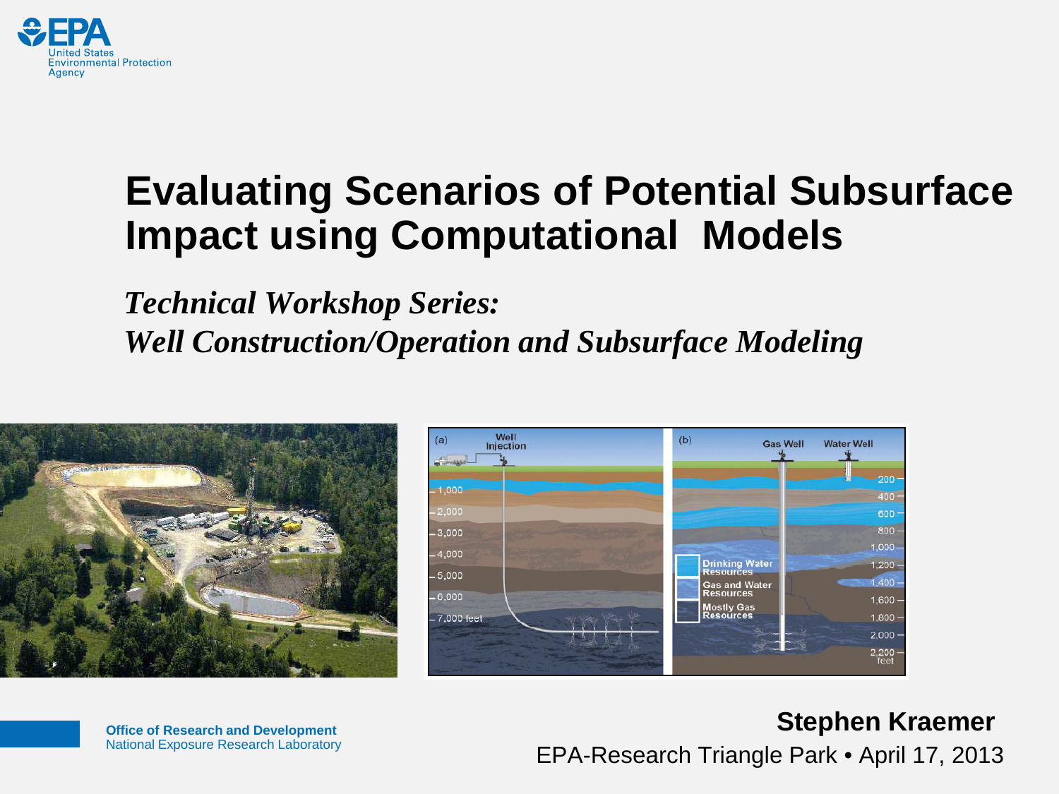

## **Evaluating Scenarios of Potential Subsurface Impact using Computational Models**

*Technical Workshop Series: Well Construction/Operation and Subsurface Modeling*



**Office of Research and Development** National Exposure Research Laboratory

#### **Stephen Kraemer** EPA-Research Triangle Park • April 17, 2013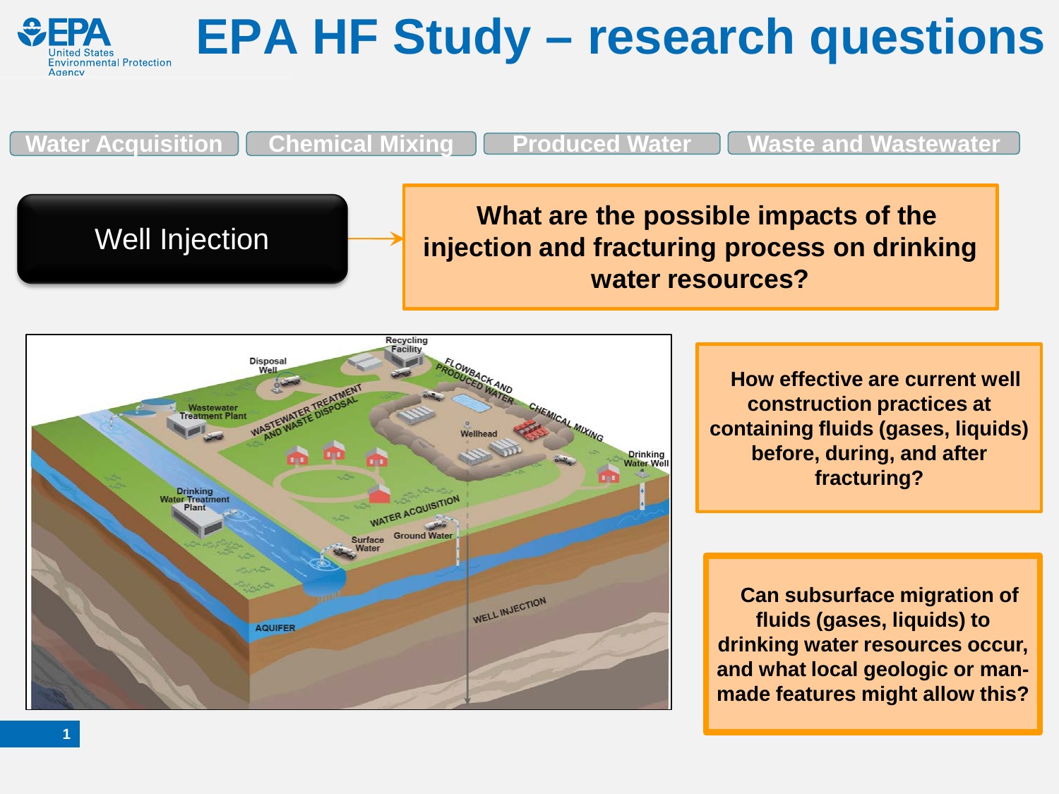

## **EPA HF Study – research questions**

**Water Acquisition Chemical Mixing Produced Water Waste and Wastewater**

Well Injection **What are the possible impacts of the injection and fracturing process on drinking water resources?**



**How effective are current well construction practices at containing fluids (gases, liquids) before, during, and after fracturing?**

**Can subsurface migration of fluids (gases, liquids) to drinking water resources occur, and what local geologic or manmade features might allow this?**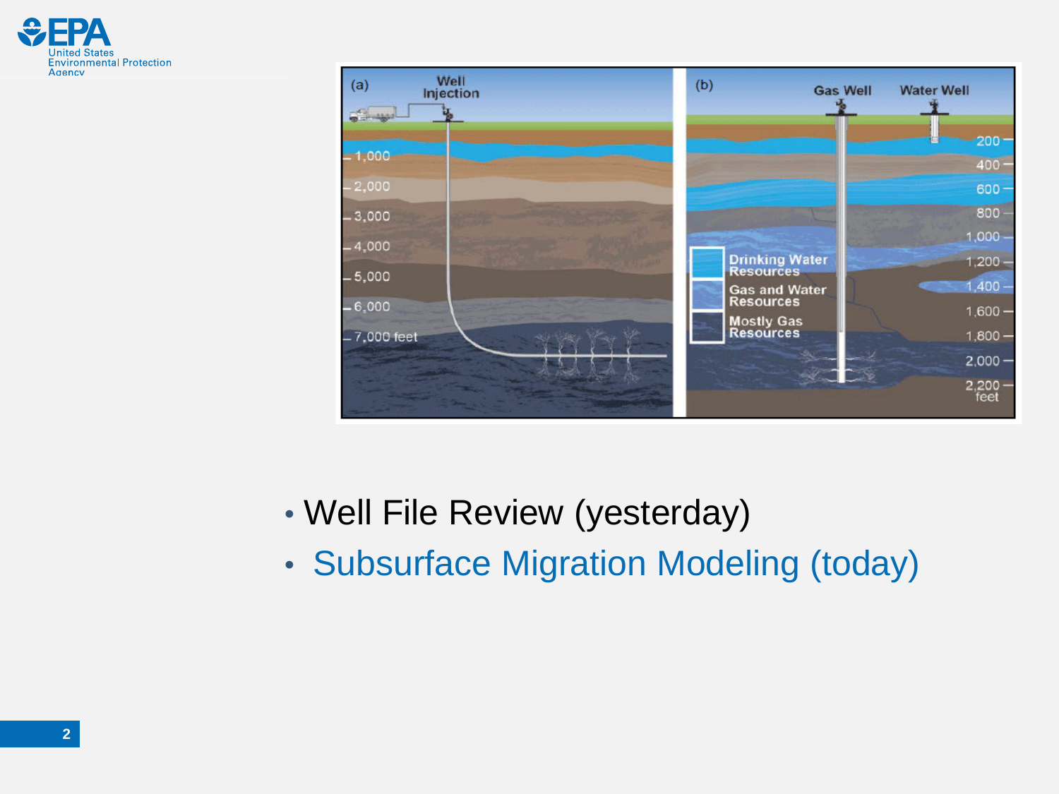



- Well File Review (yesterday)
- Subsurface Migration Modeling (today)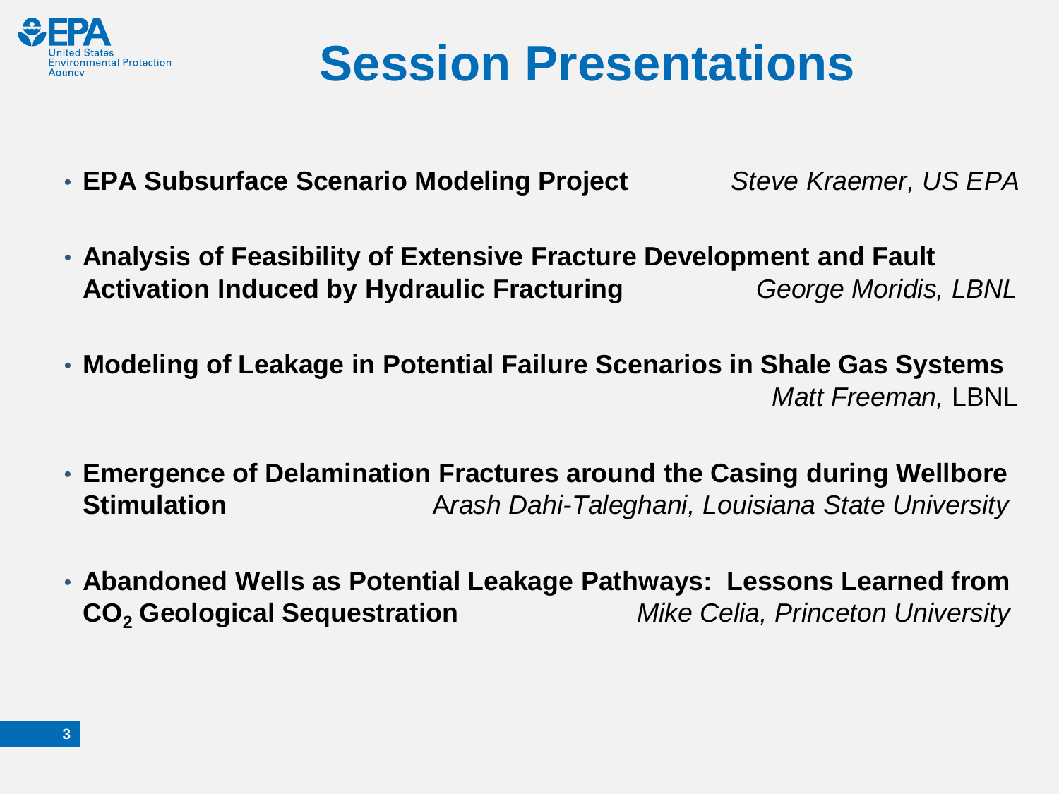

## **Session Presentations**

• **EPA Subsurface Scenario Modeling Project** *Steve Kraemer, US EPA*

- **Analysis of Feasibility of Extensive Fracture Development and Fault Activation Induced by Hydraulic Fracturing** *George Moridis, LBNL*
- **Modeling of Leakage in Potential Failure Scenarios in Shale Gas Systems** *Matt Freeman,* LBNL
- **Emergence of Delamination Fractures around the Casing during Wellbore Stimulation** A*rash Dahi-Taleghani, Louisiana State University*
- **Abandoned Wells as Potential Leakage Pathways: Lessons Learned from CO2 Geological Sequestration** *Mike Celia, Princeton University*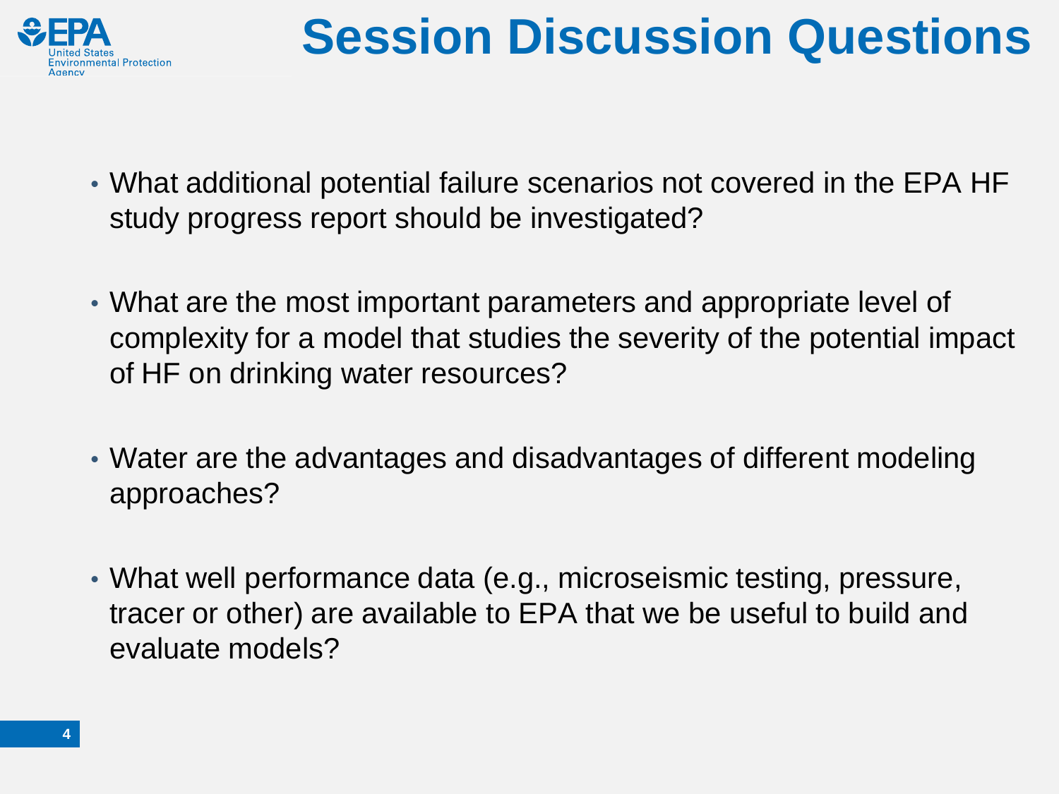

# **Session Discussion Questions**

- What additional potential failure scenarios not covered in the EPA HF study progress report should be investigated?
- What are the most important parameters and appropriate level of complexity for a model that studies the severity of the potential impact of HF on drinking water resources?
- Water are the advantages and disadvantages of different modeling approaches?
- What well performance data (e.g., microseismic testing, pressure, tracer or other) are available to EPA that we be useful to build and evaluate models?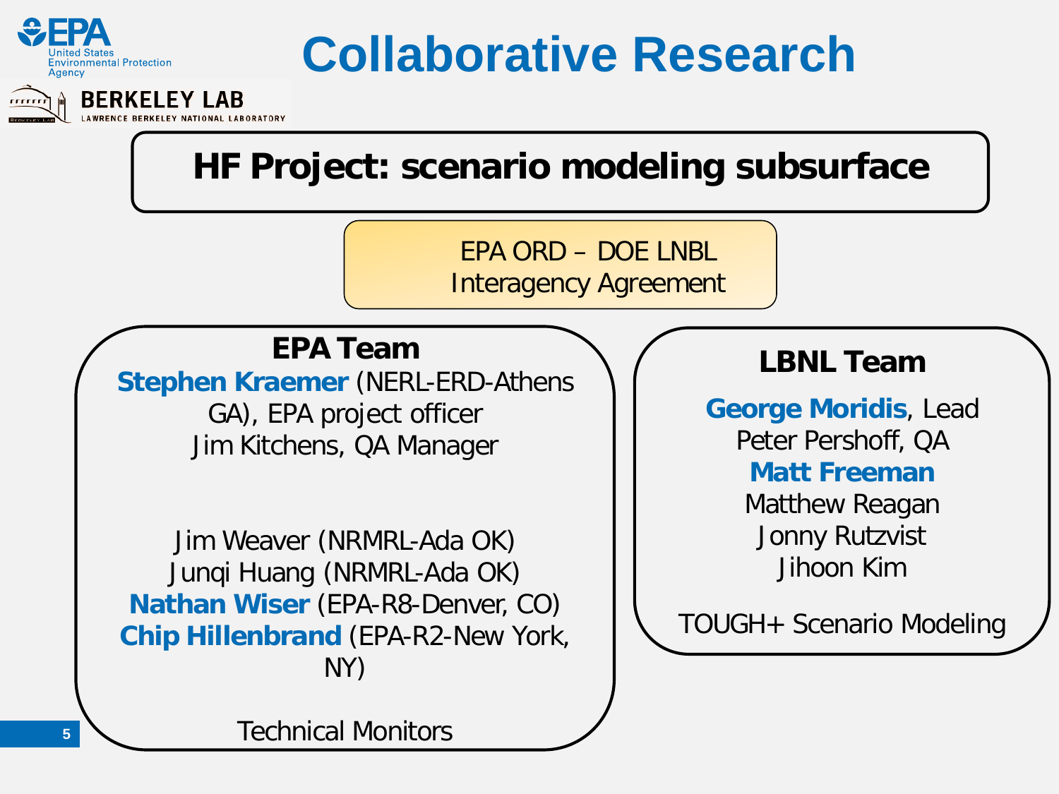

## **Collaborative Research**



### **HF Project: scenario modeling subsurface**

EPA ORD – DOE LNBL

Interagency Agreement

**EPA Team**

**Stephen Kraemer** (NERL-ERD-Athens GA), EPA project officer

Jim Kitchens, QA Manager

Jim Weaver (NRMRL-Ada OK) Junqi Huang (NRMRL-Ada OK) **Nathan Wiser** (EPA-R8-Denver, CO) **Chip Hillenbrand** (EPA-R2-New York, NY)

### **LBNL Team**

**George Moridis**, Lead Peter Pershoff, QA **Matt Freeman** Matthew Reagan Jonny Rutzvist

Jihoon Kim

TOUGH+ Scenario Modeling

Technical Monitors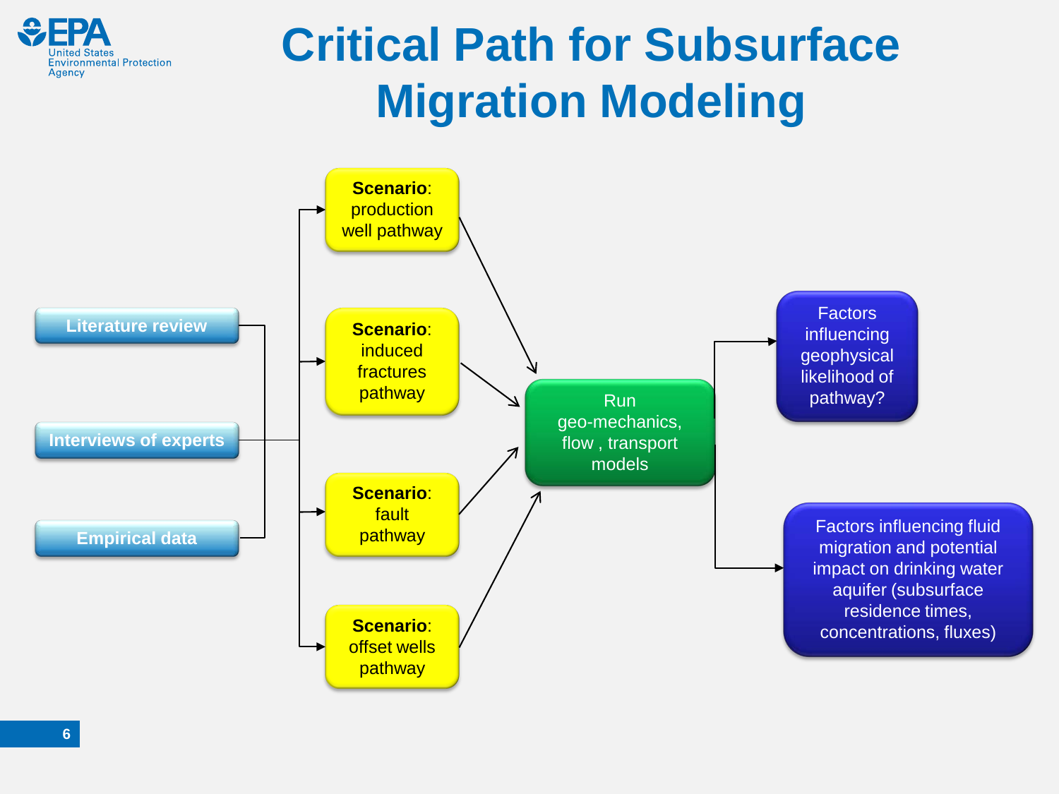

## **Critical Path for Subsurface Migration Modeling**

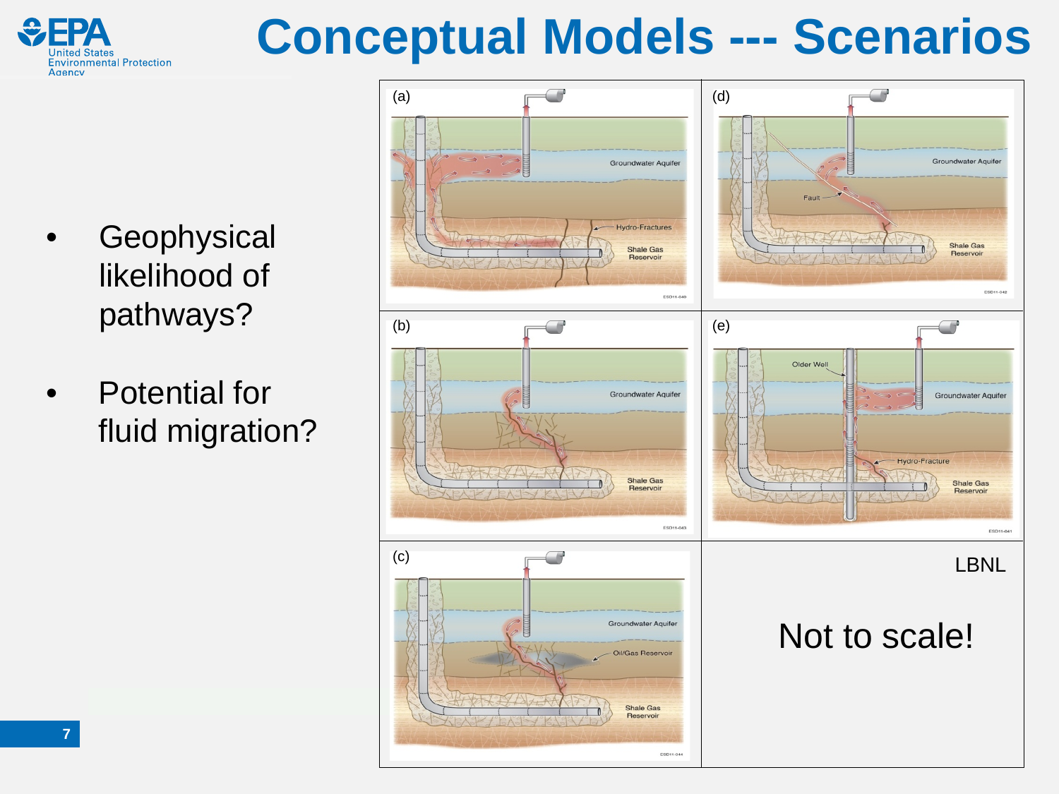

# **Conceptual Models --- Scenarios**

- **Geophysical** likelihood of pathways?
- Potential for fluid migration?

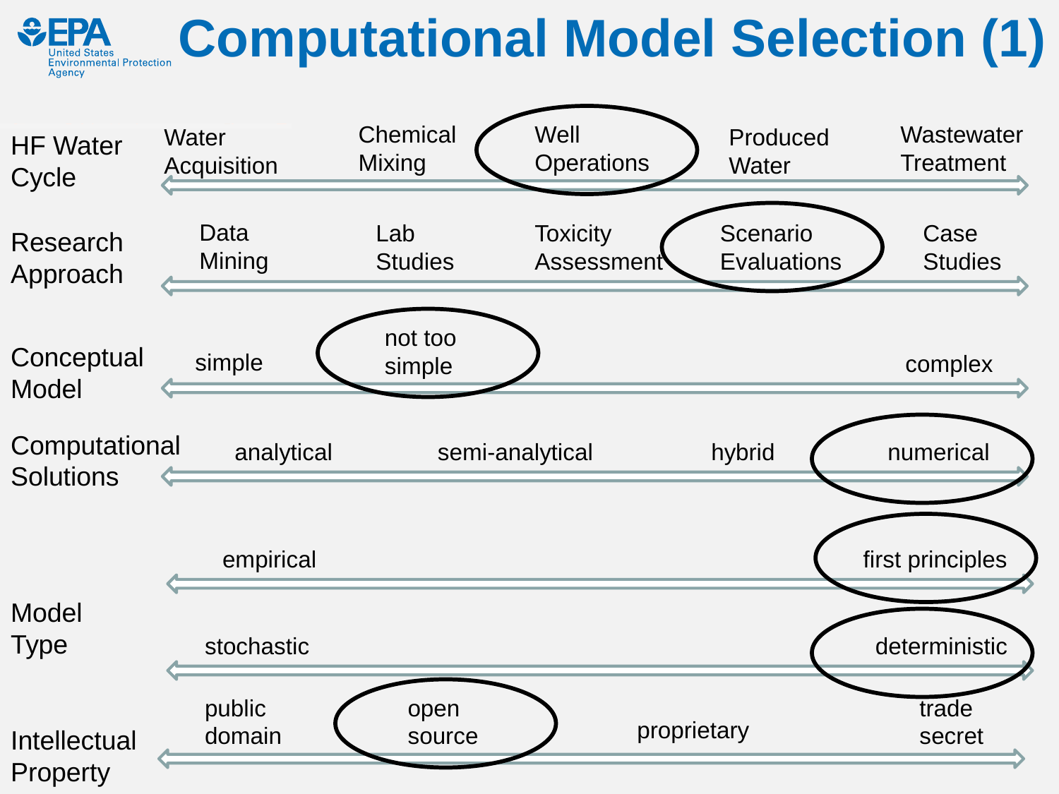#### **Computational Model Selection (1)Environmental Protection Agency**

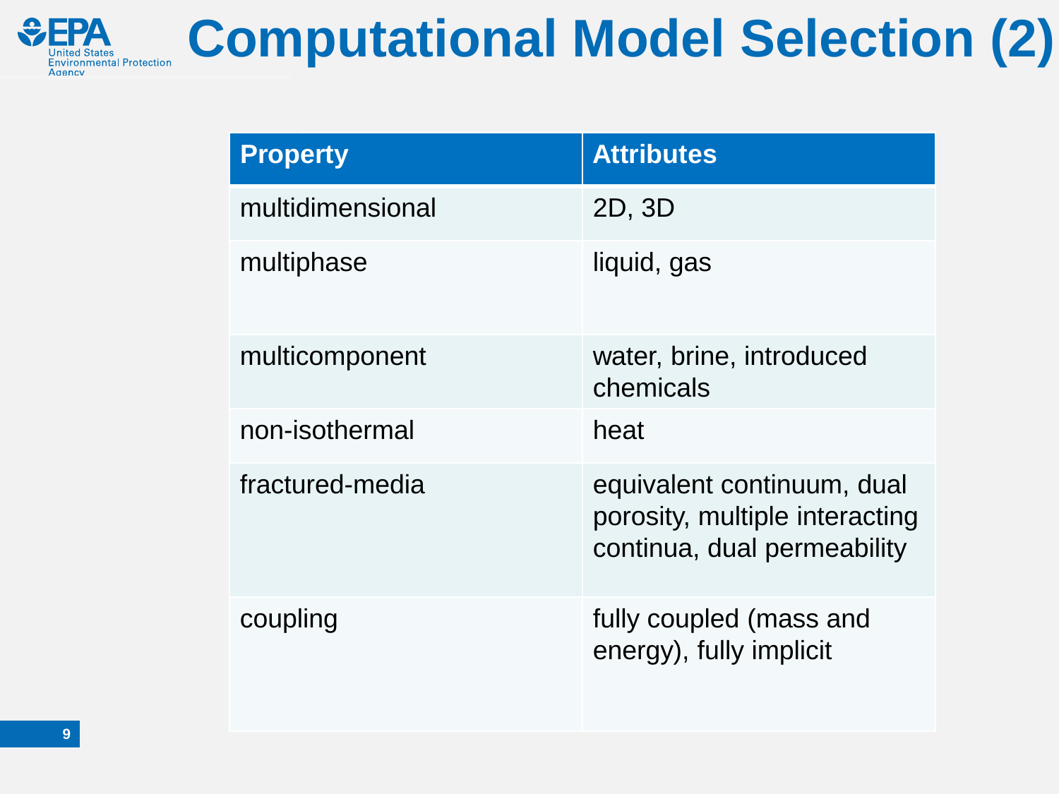

# **Computational Model Selection (2)**

| <b>Property</b>  | <b>Attributes</b>                                                                           |
|------------------|---------------------------------------------------------------------------------------------|
| multidimensional | 2D, 3D                                                                                      |
| multiphase       | liquid, gas                                                                                 |
| multicomponent   | water, brine, introduced<br>chemicals                                                       |
| non-isothermal   | heat                                                                                        |
| fractured-media  | equivalent continuum, dual<br>porosity, multiple interacting<br>continua, dual permeability |
| coupling         | fully coupled (mass and<br>energy), fully implicit                                          |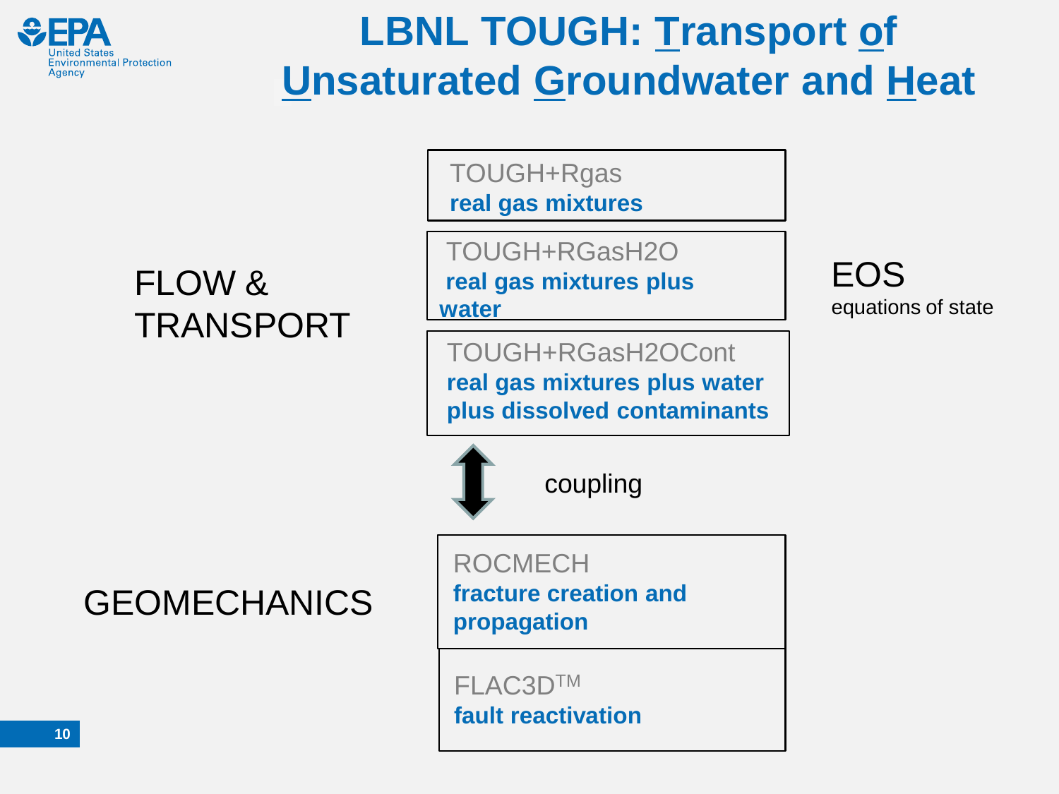

## **LBNL TOUGH: Transport of Unsaturated Groundwater and Heat**

TOUGH+Rgas **real gas mixtures**

FLOW & TRANSPORT

TOUGH+RGasH2O **real gas mixtures plus water**

TOUGH+RGasH2OCont **real gas mixtures plus water plus dissolved contaminants** EOS equations of state

GEOMECHANICS | fracture crea

coupling

ROCMECH **fracture creation and** 

FLAC3DTM **fault reactivation**